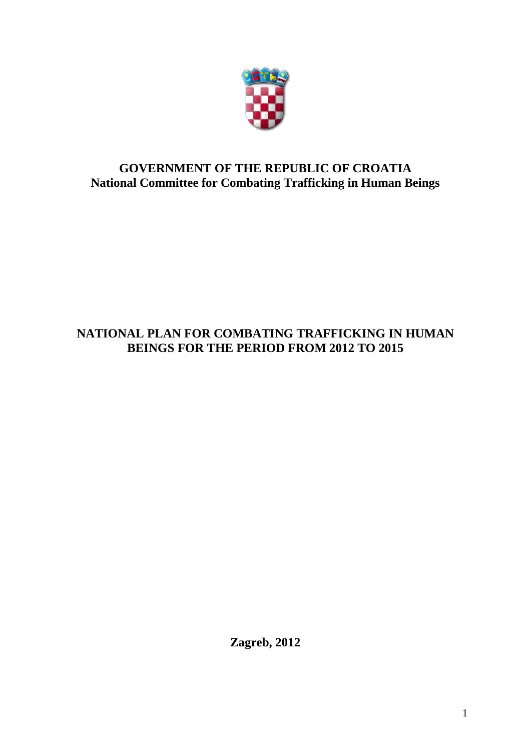

# **GOVERNMENT OF THE REPUBLIC OF CROATIA National Committee for Combating Trafficking in Human Beings**

# **NATIONAL PLAN FOR COMBATING TRAFFICKING IN HUMAN BEINGS FOR THE PERIOD FROM 2012 TO 2015**

**Zagreb, 2012**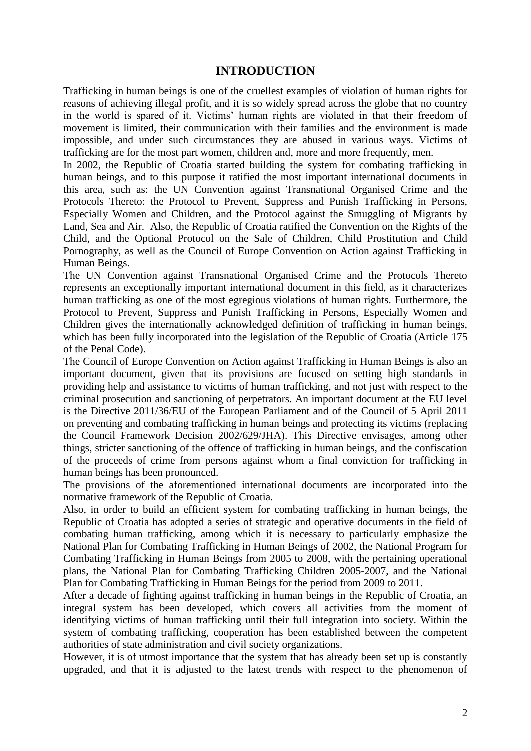# **INTRODUCTION**

Trafficking in human beings is one of the cruellest examples of violation of human rights for reasons of achieving illegal profit, and it is so widely spread across the globe that no country in the world is spared of it. Victims' human rights are violated in that their freedom of movement is limited, their communication with their families and the environment is made impossible, and under such circumstances they are abused in various ways. Victims of trafficking are for the most part women, children and, more and more frequently, men.

In 2002, the Republic of Croatia started building the system for combating trafficking in human beings, and to this purpose it ratified the most important international documents in this area, such as: the UN Convention against Transnational Organised Crime and the Protocols Thereto: the Protocol to Prevent, Suppress and Punish Trafficking in Persons, Especially Women and Children, and the Protocol against the Smuggling of Migrants by Land, Sea and Air. Also, the Republic of Croatia ratified the Convention on the Rights of the Child, and the Optional Protocol on the Sale of Children, Child Prostitution and Child Pornography, as well as the Council of Europe Convention on Action against Trafficking in Human Beings.

The UN Convention against Transnational Organised Crime and the Protocols Thereto represents an exceptionally important international document in this field, as it characterizes human trafficking as one of the most egregious violations of human rights. Furthermore, the Protocol to Prevent, Suppress and Punish Trafficking in Persons, Especially Women and Children gives the internationally acknowledged definition of trafficking in human beings, which has been fully incorporated into the legislation of the Republic of Croatia (Article 175 of the Penal Code).

The Council of Europe Convention on Action against Trafficking in Human Beings is also an important document, given that its provisions are focused on setting high standards in providing help and assistance to victims of human trafficking, and not just with respect to the criminal prosecution and sanctioning of perpetrators. An important document at the EU level is the Directive 2011/36/EU of the European Parliament and of the Council of 5 April 2011 on preventing and combating trafficking in human beings and protecting its victims (replacing the Council Framework Decision 2002/629/JHA). This Directive envisages, among other things, stricter sanctioning of the offence of trafficking in human beings, and the confiscation of the proceeds of crime from persons against whom a final conviction for trafficking in human beings has been pronounced.

The provisions of the aforementioned international documents are incorporated into the normative framework of the Republic of Croatia.

Also, in order to build an efficient system for combating trafficking in human beings, the Republic of Croatia has adopted a series of strategic and operative documents in the field of combating human trafficking, among which it is necessary to particularly emphasize the National Plan for Combating Trafficking in Human Beings of 2002, the National Program for Combating Trafficking in Human Beings from 2005 to 2008, with the pertaining operational plans, the National Plan for Combating Trafficking Children 2005-2007, and the National Plan for Combating Trafficking in Human Beings for the period from 2009 to 2011.

After a decade of fighting against trafficking in human beings in the Republic of Croatia, an integral system has been developed, which covers all activities from the moment of identifying victims of human trafficking until their full integration into society. Within the system of combating trafficking, cooperation has been established between the competent authorities of state administration and civil society organizations.

However, it is of utmost importance that the system that has already been set up is constantly upgraded, and that it is adjusted to the latest trends with respect to the phenomenon of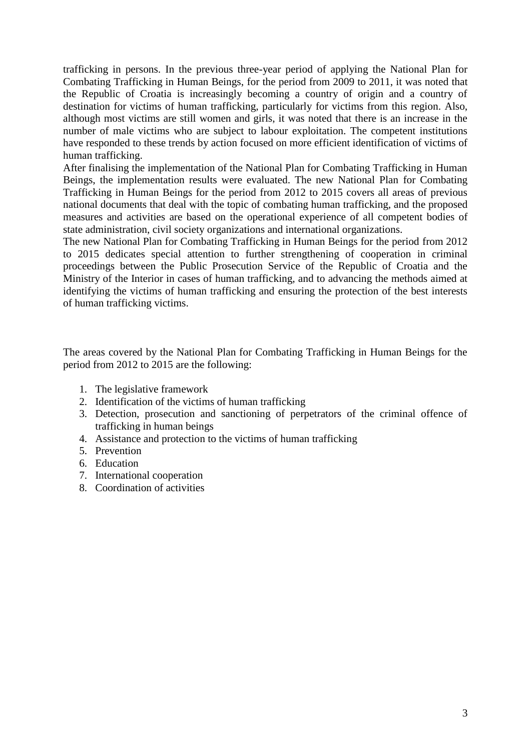trafficking in persons. In the previous three-year period of applying the National Plan for Combating Trafficking in Human Beings, for the period from 2009 to 2011, it was noted that the Republic of Croatia is increasingly becoming a country of origin and a country of destination for victims of human trafficking, particularly for victims from this region. Also, although most victims are still women and girls, it was noted that there is an increase in the number of male victims who are subject to labour exploitation. The competent institutions have responded to these trends by action focused on more efficient identification of victims of human trafficking.

After finalising the implementation of the National Plan for Combating Trafficking in Human Beings, the implementation results were evaluated. The new National Plan for Combating Trafficking in Human Beings for the period from 2012 to 2015 covers all areas of previous national documents that deal with the topic of combating human trafficking, and the proposed measures and activities are based on the operational experience of all competent bodies of state administration, civil society organizations and international organizations.

The new National Plan for Combating Trafficking in Human Beings for the period from 2012 to 2015 dedicates special attention to further strengthening of cooperation in criminal proceedings between the Public Prosecution Service of the Republic of Croatia and the Ministry of the Interior in cases of human trafficking, and to advancing the methods aimed at identifying the victims of human trafficking and ensuring the protection of the best interests of human trafficking victims.

The areas covered by the National Plan for Combating Trafficking in Human Beings for the period from 2012 to 2015 are the following:

- 1. The legislative framework
- 2. Identification of the victims of human trafficking
- 3. Detection, prosecution and sanctioning of perpetrators of the criminal offence of trafficking in human beings
- 4. Assistance and protection to the victims of human trafficking
- 5. Prevention
- 6. Education
- 7. International cooperation
- 8. Coordination of activities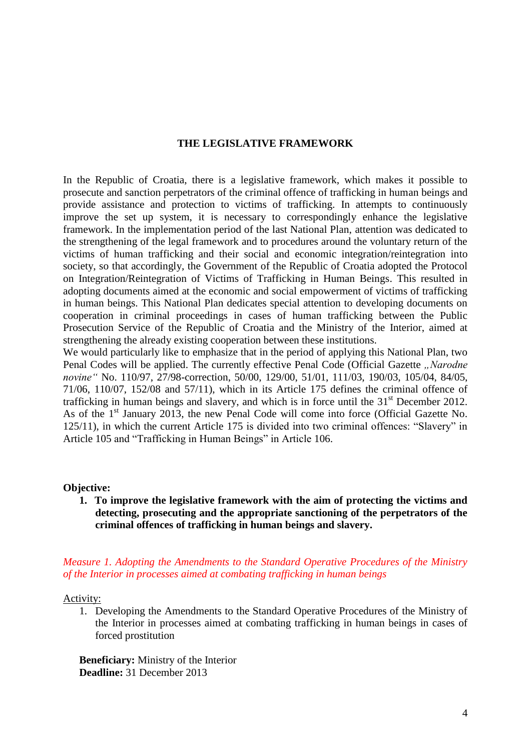#### **THE LEGISLATIVE FRAMEWORK**

In the Republic of Croatia, there is a legislative framework, which makes it possible to prosecute and sanction perpetrators of the criminal offence of trafficking in human beings and provide assistance and protection to victims of trafficking. In attempts to continuously improve the set up system, it is necessary to correspondingly enhance the legislative framework. In the implementation period of the last National Plan, attention was dedicated to the strengthening of the legal framework and to procedures around the voluntary return of the victims of human trafficking and their social and economic integration/reintegration into society, so that accordingly, the Government of the Republic of Croatia adopted the Protocol on Integration/Reintegration of Victims of Trafficking in Human Beings. This resulted in adopting documents aimed at the economic and social empowerment of victims of trafficking in human beings. This National Plan dedicates special attention to developing documents on cooperation in criminal proceedings in cases of human trafficking between the Public Prosecution Service of the Republic of Croatia and the Ministry of the Interior, aimed at strengthening the already existing cooperation between these institutions.

We would particularly like to emphasize that in the period of applying this National Plan, two Penal Codes will be applied. The currently effective Penal Code (Official Gazette *"Narodne novine"* No. 110/97, 27/98-correction, 50/00, 129/00, 51/01, 111/03, 190/03, 105/04, 84/05, 71/06, 110/07, 152/08 and 57/11), which in its Article 175 defines the criminal offence of trafficking in human beings and slavery, and which is in force until the  $31<sup>st</sup>$  December 2012. As of the 1<sup>st</sup> January 2013, the new Penal Code will come into force (Official Gazette No. 125/11), in which the current Article 175 is divided into two criminal offences: "Slavery" in Article 105 and "Trafficking in Human Beings" in Article 106.

#### **Objective:**

**1. To improve the legislative framework with the aim of protecting the victims and detecting, prosecuting and the appropriate sanctioning of the perpetrators of the criminal offences of trafficking in human beings and slavery.** 

### *Measure 1. Adopting the Amendments to the Standard Operative Procedures of the Ministry of the Interior in processes aimed at combating trafficking in human beings*

Activity:

1. Developing the Amendments to the Standard Operative Procedures of the Ministry of the Interior in processes aimed at combating trafficking in human beings in cases of forced prostitution

**Beneficiary:** Ministry of the Interior **Deadline:** 31 December 2013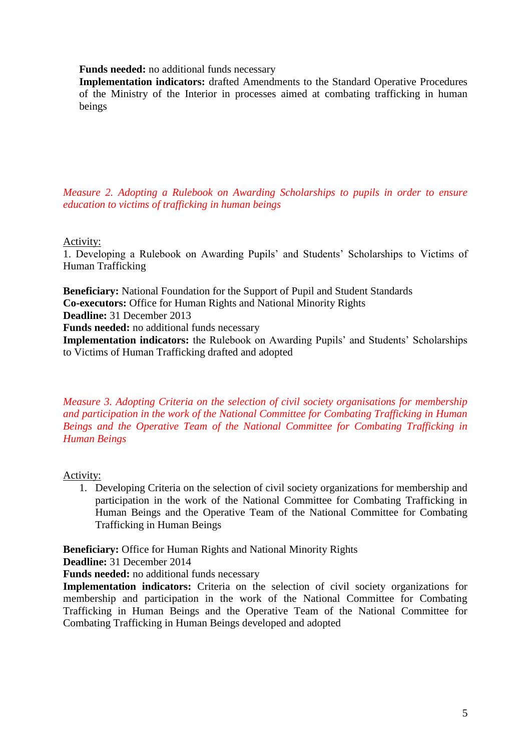**Funds needed:** no additional funds necessary

**Implementation indicators:** drafted Amendments to the Standard Operative Procedures of the Ministry of the Interior in processes aimed at combating trafficking in human beings

*Measure 2. Adopting a Rulebook on Awarding Scholarships to pupils in order to ensure education to victims of trafficking in human beings* 

Activity:

1. Developing a Rulebook on Awarding Pupils' and Students' Scholarships to Victims of Human Trafficking

**Beneficiary:** National Foundation for the Support of Pupil and Student Standards **Co-executors:** Office for Human Rights and National Minority Rights **Deadline:** 31 December 2013 **Funds needed:** no additional funds necessary **Implementation indicators:** the Rulebook on Awarding Pupils' and Students' Scholarships to Victims of Human Trafficking drafted and adopted

*Measure 3. Adopting Criteria on the selection of civil society organisations for membership and participation in the work of the National Committee for Combating Trafficking in Human Beings and the Operative Team of the National Committee for Combating Trafficking in Human Beings* 

Activity:

1. Developing Criteria on the selection of civil society organizations for membership and participation in the work of the National Committee for Combating Trafficking in Human Beings and the Operative Team of the National Committee for Combating Trafficking in Human Beings

**Beneficiary:** Office for Human Rights and National Minority Rights **Deadline:** 31 December 2014

**Funds needed:** no additional funds necessary

**Implementation indicators:** Criteria on the selection of civil society organizations for membership and participation in the work of the National Committee for Combating Trafficking in Human Beings and the Operative Team of the National Committee for Combating Trafficking in Human Beings developed and adopted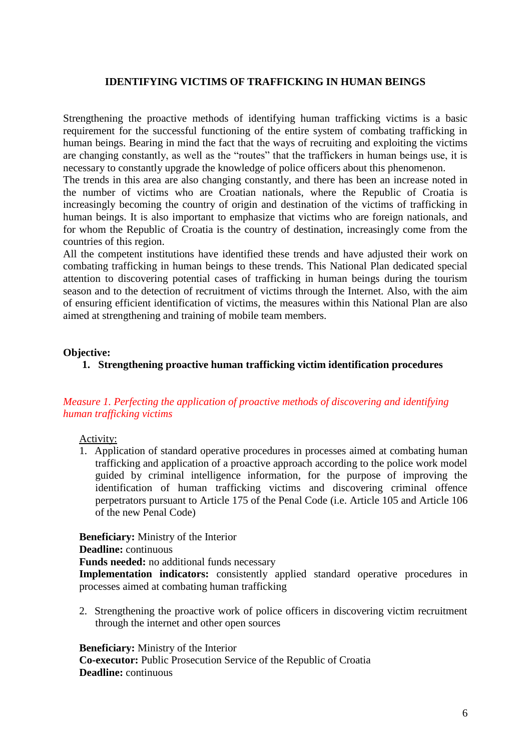### **IDENTIFYING VICTIMS OF TRAFFICKING IN HUMAN BEINGS**

Strengthening the proactive methods of identifying human trafficking victims is a basic requirement for the successful functioning of the entire system of combating trafficking in human beings. Bearing in mind the fact that the ways of recruiting and exploiting the victims are changing constantly, as well as the "routes" that the traffickers in human beings use, it is necessary to constantly upgrade the knowledge of police officers about this phenomenon.

The trends in this area are also changing constantly, and there has been an increase noted in the number of victims who are Croatian nationals, where the Republic of Croatia is increasingly becoming the country of origin and destination of the victims of trafficking in human beings. It is also important to emphasize that victims who are foreign nationals, and for whom the Republic of Croatia is the country of destination, increasingly come from the countries of this region.

All the competent institutions have identified these trends and have adjusted their work on combating trafficking in human beings to these trends. This National Plan dedicated special attention to discovering potential cases of trafficking in human beings during the tourism season and to the detection of recruitment of victims through the Internet. Also, with the aim of ensuring efficient identification of victims, the measures within this National Plan are also aimed at strengthening and training of mobile team members.

#### **Objective:**

### **1. Strengthening proactive human trafficking victim identification procedures**

### *Measure 1. Perfecting the application of proactive methods of discovering and identifying human trafficking victims*

#### Activity:

1. Application of standard operative procedures in processes aimed at combating human trafficking and application of a proactive approach according to the police work model guided by criminal intelligence information, for the purpose of improving the identification of human trafficking victims and discovering criminal offence perpetrators pursuant to Article 175 of the Penal Code (i.e. Article 105 and Article 106 of the new Penal Code)

**Beneficiary:** Ministry of the Interior

**Deadline:** continuous

**Funds needed:** no additional funds necessary

**Implementation indicators:** consistently applied standard operative procedures in processes aimed at combating human trafficking

2. Strengthening the proactive work of police officers in discovering victim recruitment through the internet and other open sources

**Beneficiary:** Ministry of the Interior

**Co-executor:** Public Prosecution Service of the Republic of Croatia **Deadline:** continuous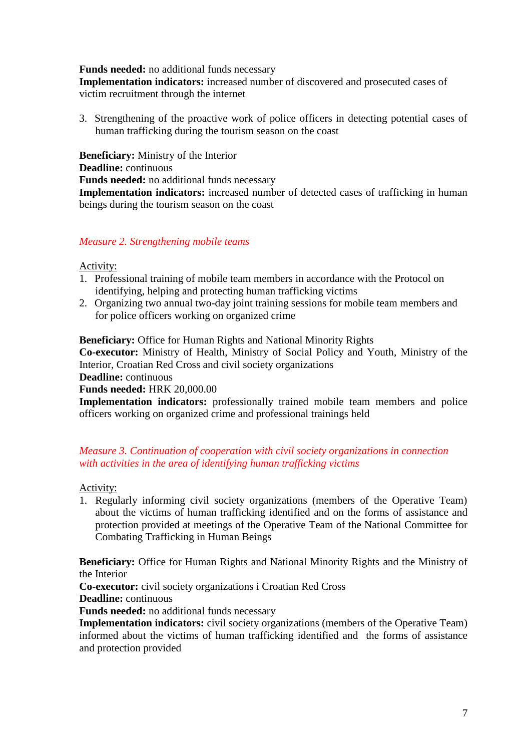### **Funds needed:** no additional funds necessary

**Implementation indicators:** increased number of discovered and prosecuted cases of victim recruitment through the internet

3. Strengthening of the proactive work of police officers in detecting potential cases of human trafficking during the tourism season on the coast

**Beneficiary:** Ministry of the Interior **Deadline:** continuous **Funds needed:** no additional funds necessary **Implementation indicators:** increased number of detected cases of trafficking in human beings during the tourism season on the coast

### *Measure 2. Strengthening mobile teams*

### Activity:

- 1. Professional training of mobile team members in accordance with the Protocol on identifying, helping and protecting human trafficking victims
- 2. Organizing two annual two-day joint training sessions for mobile team members and for police officers working on organized crime

**Beneficiary:** Office for Human Rights and National Minority Rights

**Co-executor:** Ministry of Health, Ministry of Social Policy and Youth, Ministry of the Interior, Croatian Red Cross and civil society organizations

**Deadline:** continuous

#### **Funds needed:** HRK 20,000.00

**Implementation indicators:** professionally trained mobile team members and police officers working on organized crime and professional trainings held

### *Measure 3. Continuation of cooperation with civil society organizations in connection with activities in the area of identifying human trafficking victims*

Activity:

1. Regularly informing civil society organizations (members of the Operative Team) about the victims of human trafficking identified and on the forms of assistance and protection provided at meetings of the Operative Team of the National Committee for Combating Trafficking in Human Beings

**Beneficiary:** Office for Human Rights and National Minority Rights and the Ministry of the Interior

**Co-executor:** civil society organizations i Croatian Red Cross

**Deadline:** continuous

**Funds needed:** no additional funds necessary

**Implementation indicators:** civil society organizations (members of the Operative Team) informed about the victims of human trafficking identified and the forms of assistance and protection provided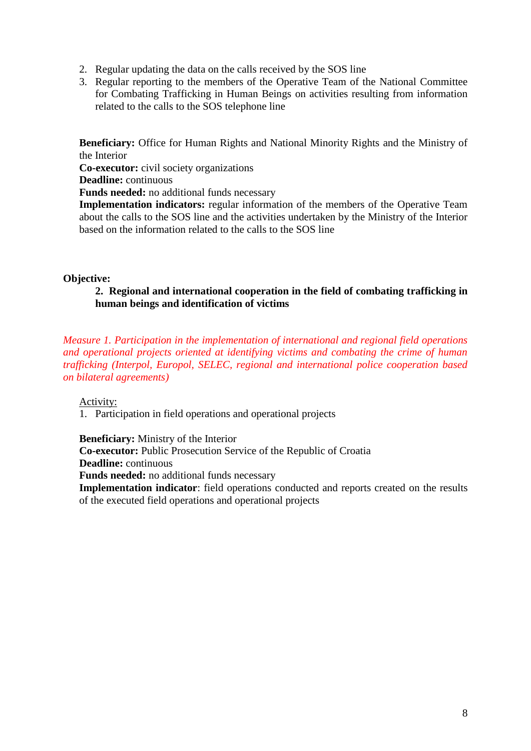- 2. Regular updating the data on the calls received by the SOS line
- 3. Regular reporting to the members of the Operative Team of the National Committee for Combating Trafficking in Human Beings on activities resulting from information related to the calls to the SOS telephone line

**Beneficiary:** Office for Human Rights and National Minority Rights and the Ministry of the Interior

**Co-executor:** civil society organizations

**Deadline:** continuous

**Funds needed:** no additional funds necessary

**Implementation indicators:** regular information of the members of the Operative Team about the calls to the SOS line and the activities undertaken by the Ministry of the Interior based on the information related to the calls to the SOS line

#### **Objective:**

### **2. Regional and international cooperation in the field of combating trafficking in human beings and identification of victims**

*Measure 1. Participation in the implementation of international and regional field operations and operational projects oriented at identifying victims and combating the crime of human trafficking (Interpol, Europol, SELEC, regional and international police cooperation based on bilateral agreements)*

Activity:

1. Participation in field operations and operational projects

**Beneficiary:** Ministry of the Interior **Co-executor:** Public Prosecution Service of the Republic of Croatia **Deadline:** continuous **Funds needed:** no additional funds necessary

**Implementation indicator**: field operations conducted and reports created on the results of the executed field operations and operational projects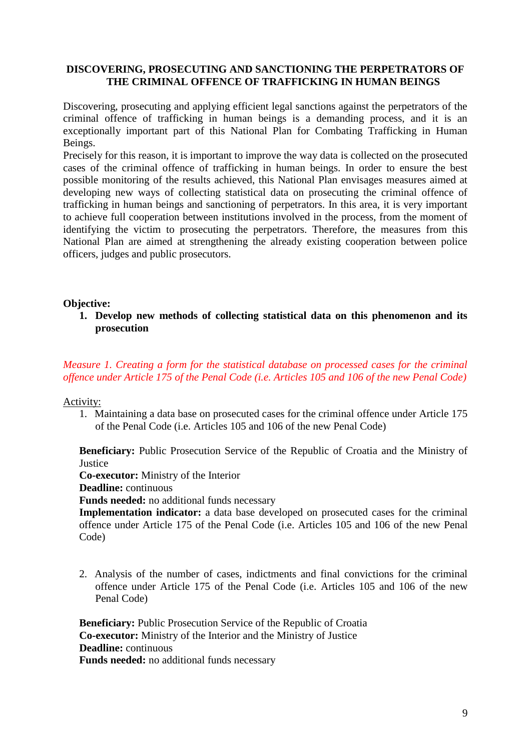### **DISCOVERING, PROSECUTING AND SANCTIONING THE PERPETRATORS OF THE CRIMINAL OFFENCE OF TRAFFICKING IN HUMAN BEINGS**

Discovering, prosecuting and applying efficient legal sanctions against the perpetrators of the criminal offence of trafficking in human beings is a demanding process, and it is an exceptionally important part of this National Plan for Combating Trafficking in Human Beings.

Precisely for this reason, it is important to improve the way data is collected on the prosecuted cases of the criminal offence of trafficking in human beings. In order to ensure the best possible monitoring of the results achieved, this National Plan envisages measures aimed at developing new ways of collecting statistical data on prosecuting the criminal offence of trafficking in human beings and sanctioning of perpetrators. In this area, it is very important to achieve full cooperation between institutions involved in the process, from the moment of identifying the victim to prosecuting the perpetrators. Therefore, the measures from this National Plan are aimed at strengthening the already existing cooperation between police officers, judges and public prosecutors.

### **Objective:**

**1. Develop new methods of collecting statistical data on this phenomenon and its prosecution** 

*Measure 1. Creating a form for the statistical database on processed cases for the criminal offence under Article 175 of the Penal Code (i.e. Articles 105 and 106 of the new Penal Code)*

Activity:

1. Maintaining a data base on prosecuted cases for the criminal offence under Article 175 of the Penal Code (i.e. Articles 105 and 106 of the new Penal Code)

**Beneficiary:** Public Prosecution Service of the Republic of Croatia and the Ministry of **Justice** 

**Co-executor:** Ministry of the Interior

**Deadline:** continuous

**Funds needed:** no additional funds necessary

**Implementation indicator:** a data base developed on prosecuted cases for the criminal offence under Article 175 of the Penal Code (i.e. Articles 105 and 106 of the new Penal Code)

2. Analysis of the number of cases, indictments and final convictions for the criminal offence under Article 175 of the Penal Code (i.e. Articles 105 and 106 of the new Penal Code)

**Beneficiary:** Public Prosecution Service of the Republic of Croatia **Co-executor:** Ministry of the Interior and the Ministry of Justice **Deadline:** continuous **Funds needed:** no additional funds necessary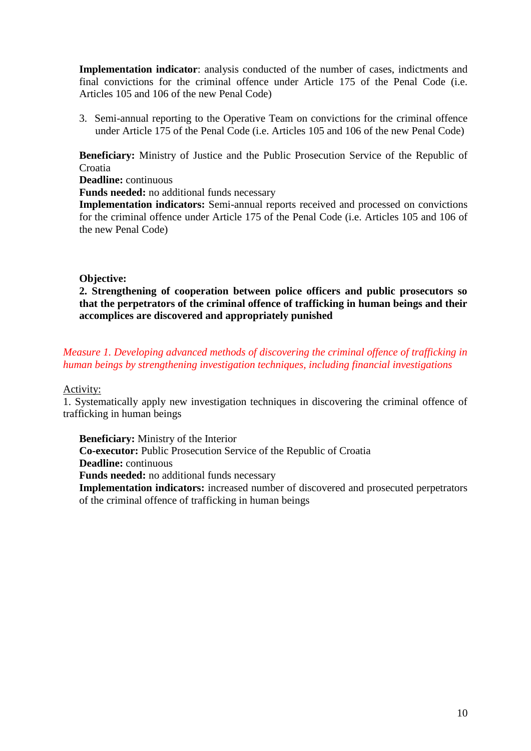**Implementation indicator**: analysis conducted of the number of cases, indictments and final convictions for the criminal offence under Article 175 of the Penal Code (i.e. Articles 105 and 106 of the new Penal Code)

3. Semi-annual reporting to the Operative Team on convictions for the criminal offence under Article 175 of the Penal Code (i.e. Articles 105 and 106 of the new Penal Code)

**Beneficiary:** Ministry of Justice and the Public Prosecution Service of the Republic of Croatia

**Deadline:** continuous

**Funds needed:** no additional funds necessary

**Implementation indicators:** Semi-annual reports received and processed on convictions for the criminal offence under Article 175 of the Penal Code (i.e. Articles 105 and 106 of the new Penal Code)

### **Objective:**

**2. Strengthening of cooperation between police officers and public prosecutors so that the perpetrators of the criminal offence of trafficking in human beings and their accomplices are discovered and appropriately punished** 

*Measure 1. Developing advanced methods of discovering the criminal offence of trafficking in human beings by strengthening investigation techniques, including financial investigations* 

Activity:

1. Systematically apply new investigation techniques in discovering the criminal offence of trafficking in human beings

**Beneficiary:** Ministry of the Interior **Co-executor:** Public Prosecution Service of the Republic of Croatia **Deadline:** continuous **Funds needed:** no additional funds necessary

**Implementation indicators:** increased number of discovered and prosecuted perpetrators of the criminal offence of trafficking in human beings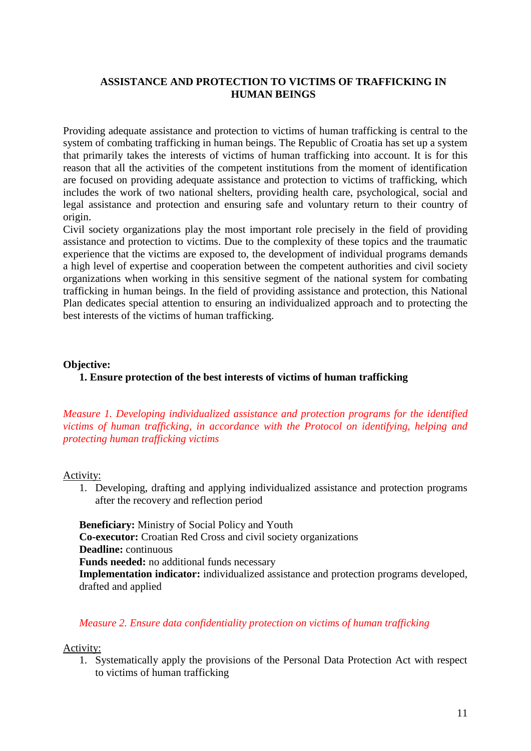### **ASSISTANCE AND PROTECTION TO VICTIMS OF TRAFFICKING IN HUMAN BEINGS**

Providing adequate assistance and protection to victims of human trafficking is central to the system of combating trafficking in human beings. The Republic of Croatia has set up a system that primarily takes the interests of victims of human trafficking into account. It is for this reason that all the activities of the competent institutions from the moment of identification are focused on providing adequate assistance and protection to victims of trafficking, which includes the work of two national shelters, providing health care, psychological, social and legal assistance and protection and ensuring safe and voluntary return to their country of origin.

Civil society organizations play the most important role precisely in the field of providing assistance and protection to victims. Due to the complexity of these topics and the traumatic experience that the victims are exposed to, the development of individual programs demands a high level of expertise and cooperation between the competent authorities and civil society organizations when working in this sensitive segment of the national system for combating trafficking in human beings. In the field of providing assistance and protection, this National Plan dedicates special attention to ensuring an individualized approach and to protecting the best interests of the victims of human trafficking.

#### **Objective:**

**1. Ensure protection of the best interests of victims of human trafficking**

*Measure 1. Developing individualized assistance and protection programs for the identified victims of human trafficking, in accordance with the Protocol on identifying, helping and protecting human trafficking victims*

#### Activity:

1. Developing, drafting and applying individualized assistance and protection programs after the recovery and reflection period

**Beneficiary:** Ministry of Social Policy and Youth **Co-executor:** Croatian Red Cross and civil society organizations **Deadline:** continuous **Funds needed:** no additional funds necessary **Implementation indicator:** individualized assistance and protection programs developed, drafted and applied

### *Measure 2. Ensure data confidentiality protection on victims of human trafficking*

#### Activity:

1. Systematically apply the provisions of the Personal Data Protection Act with respect to victims of human trafficking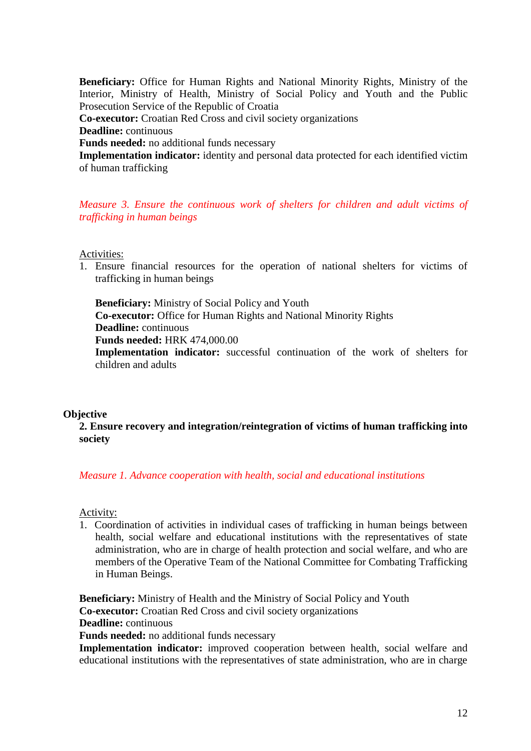**Beneficiary:** Office for Human Rights and National Minority Rights, Ministry of the Interior, Ministry of Health, Ministry of Social Policy and Youth and the Public Prosecution Service of the Republic of Croatia

**Co-executor:** Croatian Red Cross and civil society organizations

**Deadline:** continuous

**Funds needed:** no additional funds necessary

**Implementation indicator:** identity and personal data protected for each identified victim of human trafficking

*Measure 3. Ensure the continuous work of shelters for children and adult victims of trafficking in human beings* 

Activities:

1. Ensure financial resources for the operation of national shelters for victims of trafficking in human beings

**Beneficiary:** Ministry of Social Policy and Youth **Co-executor:** Office for Human Rights and National Minority Rights **Deadline:** continuous **Funds needed:** HRK 474,000.00

**Implementation indicator:** successful continuation of the work of shelters for children and adults

#### **Objective**

**2. Ensure recovery and integration/reintegration of victims of human trafficking into society** 

#### *Measure 1. Advance cooperation with health, social and educational institutions*

Activity:

1. Coordination of activities in individual cases of trafficking in human beings between health, social welfare and educational institutions with the representatives of state administration, who are in charge of health protection and social welfare, and who are members of the Operative Team of the National Committee for Combating Trafficking in Human Beings.

**Beneficiary:** Ministry of Health and the Ministry of Social Policy and Youth **Co-executor:** Croatian Red Cross and civil society organizations **Deadline:** continuous

**Funds needed:** no additional funds necessary

**Implementation indicator:** improved cooperation between health, social welfare and educational institutions with the representatives of state administration, who are in charge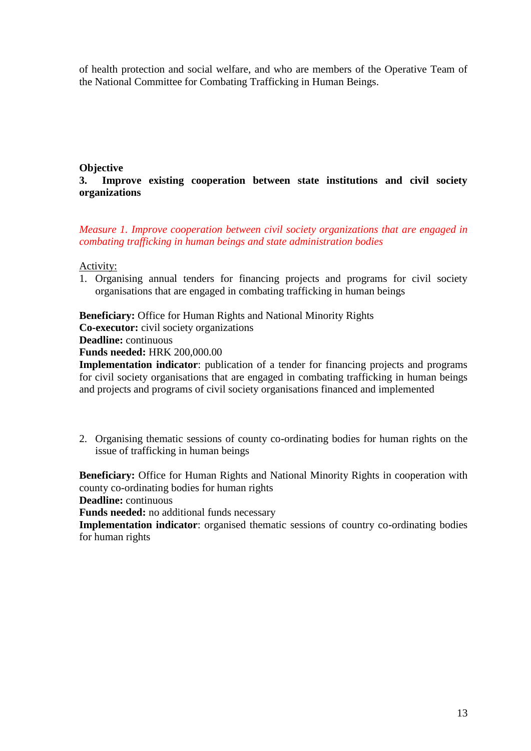of health protection and social welfare, and who are members of the Operative Team of the National Committee for Combating Trafficking in Human Beings.

# **Objective**

### **3. Improve existing cooperation between state institutions and civil society organizations**

*Measure 1. Improve cooperation between civil society organizations that are engaged in combating trafficking in human beings and state administration bodies* 

### Activity:

1. Organising annual tenders for financing projects and programs for civil society organisations that are engaged in combating trafficking in human beings

**Beneficiary:** Office for Human Rights and National Minority Rights **Co-executor:** civil society organizations **Deadline:** continuous

**Funds needed:** HRK 200,000.00

**Implementation indicator**: publication of a tender for financing projects and programs for civil society organisations that are engaged in combating trafficking in human beings and projects and programs of civil society organisations financed and implemented

2. Organising thematic sessions of county co-ordinating bodies for human rights on the issue of trafficking in human beings

**Beneficiary:** Office for Human Rights and National Minority Rights in cooperation with county co-ordinating bodies for human rights

**Deadline:** continuous

**Funds needed:** no additional funds necessary

**Implementation indicator:** organised thematic sessions of country co-ordinating bodies for human rights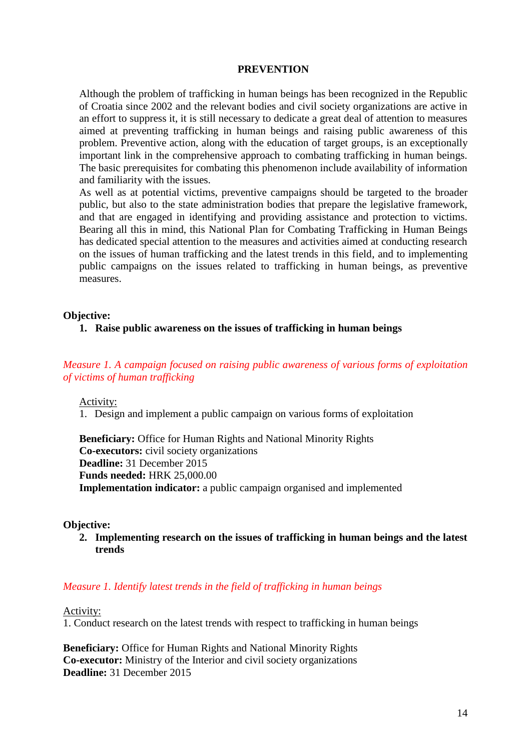#### **PREVENTION**

Although the problem of trafficking in human beings has been recognized in the Republic of Croatia since 2002 and the relevant bodies and civil society organizations are active in an effort to suppress it, it is still necessary to dedicate a great deal of attention to measures aimed at preventing trafficking in human beings and raising public awareness of this problem. Preventive action, along with the education of target groups, is an exceptionally important link in the comprehensive approach to combating trafficking in human beings. The basic prerequisites for combating this phenomenon include availability of information and familiarity with the issues.

As well as at potential victims, preventive campaigns should be targeted to the broader public, but also to the state administration bodies that prepare the legislative framework, and that are engaged in identifying and providing assistance and protection to victims. Bearing all this in mind, this National Plan for Combating Trafficking in Human Beings has dedicated special attention to the measures and activities aimed at conducting research on the issues of human trafficking and the latest trends in this field, and to implementing public campaigns on the issues related to trafficking in human beings, as preventive measures.

#### **Objective:**

**1. Raise public awareness on the issues of trafficking in human beings**

*Measure 1. A campaign focused on raising public awareness of various forms of exploitation of victims of human trafficking* 

Activity:

1. Design and implement a public campaign on various forms of exploitation

**Beneficiary:** Office for Human Rights and National Minority Rights **Co-executors:** civil society organizations **Deadline:** 31 December 2015 **Funds needed:** HRK 25,000.00 **Implementation indicator:** a public campaign organised and implemented

#### **Objective:**

**2. Implementing research on the issues of trafficking in human beings and the latest trends** 

#### *Measure 1. Identify latest trends in the field of trafficking in human beings*

Activity:

1. Conduct research on the latest trends with respect to trafficking in human beings

**Beneficiary:** Office for Human Rights and National Minority Rights **Co-executor:** Ministry of the Interior and civil society organizations **Deadline:** 31 December 2015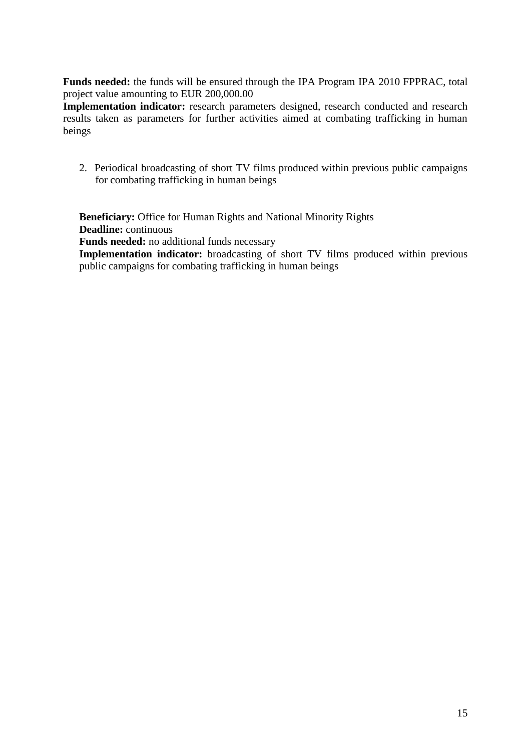**Funds needed:** the funds will be ensured through the IPA Program IPA 2010 FPPRAC, total project value amounting to EUR 200,000.00

**Implementation indicator:** research parameters designed, research conducted and research results taken as parameters for further activities aimed at combating trafficking in human beings

2. Periodical broadcasting of short TV films produced within previous public campaigns for combating trafficking in human beings

**Beneficiary:** Office for Human Rights and National Minority Rights **Deadline:** continuous

**Funds needed:** no additional funds necessary

**Implementation indicator:** broadcasting of short TV films produced within previous public campaigns for combating trafficking in human beings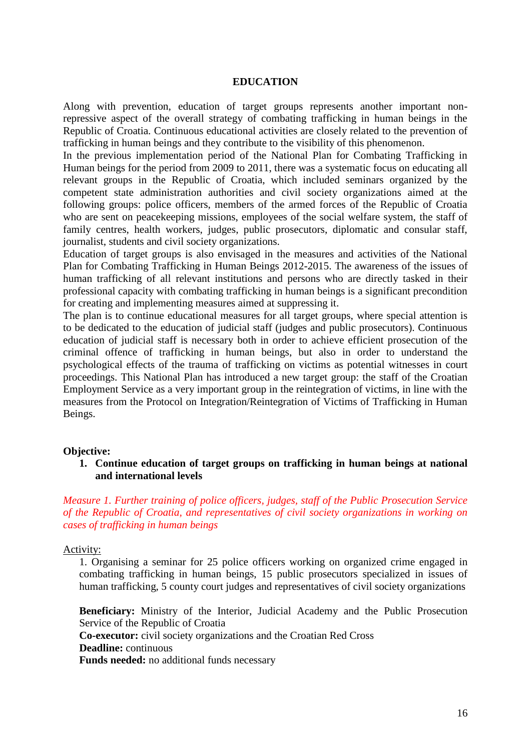#### **EDUCATION**

Along with prevention, education of target groups represents another important nonrepressive aspect of the overall strategy of combating trafficking in human beings in the Republic of Croatia. Continuous educational activities are closely related to the prevention of trafficking in human beings and they contribute to the visibility of this phenomenon.

In the previous implementation period of the National Plan for Combating Trafficking in Human beings for the period from 2009 to 2011, there was a systematic focus on educating all relevant groups in the Republic of Croatia, which included seminars organized by the competent state administration authorities and civil society organizations aimed at the following groups: police officers, members of the armed forces of the Republic of Croatia who are sent on peacekeeping missions, employees of the social welfare system, the staff of family centres, health workers, judges, public prosecutors, diplomatic and consular staff, journalist, students and civil society organizations.

Education of target groups is also envisaged in the measures and activities of the National Plan for Combating Trafficking in Human Beings 2012-2015. The awareness of the issues of human trafficking of all relevant institutions and persons who are directly tasked in their professional capacity with combating trafficking in human beings is a significant precondition for creating and implementing measures aimed at suppressing it.

The plan is to continue educational measures for all target groups, where special attention is to be dedicated to the education of judicial staff (judges and public prosecutors). Continuous education of judicial staff is necessary both in order to achieve efficient prosecution of the criminal offence of trafficking in human beings, but also in order to understand the psychological effects of the trauma of trafficking on victims as potential witnesses in court proceedings. This National Plan has introduced a new target group: the staff of the Croatian Employment Service as a very important group in the reintegration of victims, in line with the measures from the Protocol on Integration/Reintegration of Victims of Trafficking in Human Beings.

#### **Objective:**

**1. Continue education of target groups on trafficking in human beings at national and international levels**

*Measure 1. Further training of police officers, judges, staff of the Public Prosecution Service of the Republic of Croatia, and representatives of civil society organizations in working on cases of trafficking in human beings* 

#### Activity:

1. Organising a seminar for 25 police officers working on organized crime engaged in combating trafficking in human beings, 15 public prosecutors specialized in issues of human trafficking, 5 county court judges and representatives of civil society organizations

**Beneficiary:** Ministry of the Interior, Judicial Academy and the Public Prosecution Service of the Republic of Croatia **Co-executor:** civil society organizations and the Croatian Red Cross **Deadline:** continuous **Funds needed:** no additional funds necessary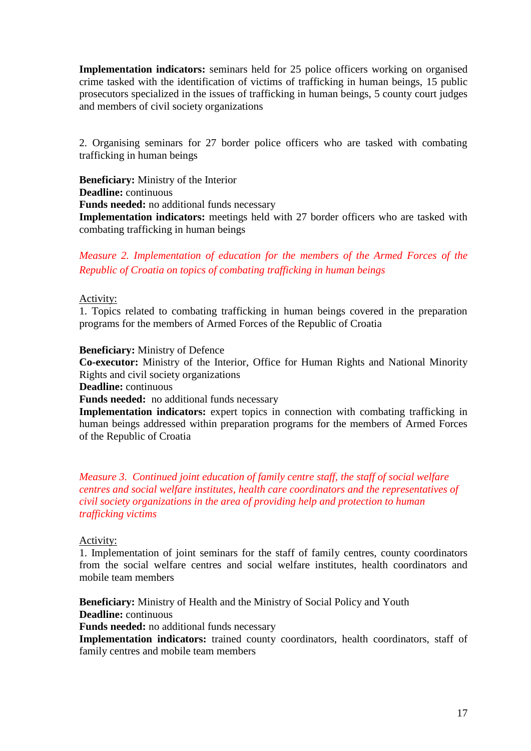**Implementation indicators:** seminars held for 25 police officers working on organised crime tasked with the identification of victims of trafficking in human beings, 15 public prosecutors specialized in the issues of trafficking in human beings, 5 county court judges and members of civil society organizations

2. Organising seminars for 27 border police officers who are tasked with combating trafficking in human beings

**Beneficiary:** Ministry of the Interior **Deadline:** continuous **Funds needed:** no additional funds necessary **Implementation indicators:** meetings held with 27 border officers who are tasked with combating trafficking in human beings

*Measure 2. Implementation of education for the members of the Armed Forces of the Republic of Croatia on topics of combating trafficking in human beings* 

#### Activity:

1. Topics related to combating trafficking in human beings covered in the preparation programs for the members of Armed Forces of the Republic of Croatia

### **Beneficiary:** Ministry of Defence

**Co-executor:** Ministry of the Interior, Office for Human Rights and National Minority Rights and civil society organizations

**Deadline:** continuous

**Funds needed:** no additional funds necessary

**Implementation indicators:** expert topics in connection with combating trafficking in human beings addressed within preparation programs for the members of Armed Forces of the Republic of Croatia

*Measure 3. Continued joint education of family centre staff, the staff of social welfare centres and social welfare institutes, health care coordinators and the representatives of civil society organizations in the area of providing help and protection to human trafficking victims*

### Activity:

1. Implementation of joint seminars for the staff of family centres, county coordinators from the social welfare centres and social welfare institutes, health coordinators and mobile team members

**Beneficiary:** Ministry of Health and the Ministry of Social Policy and Youth **Deadline:** continuous

**Funds needed:** no additional funds necessary

**Implementation indicators:** trained county coordinators, health coordinators, staff of family centres and mobile team members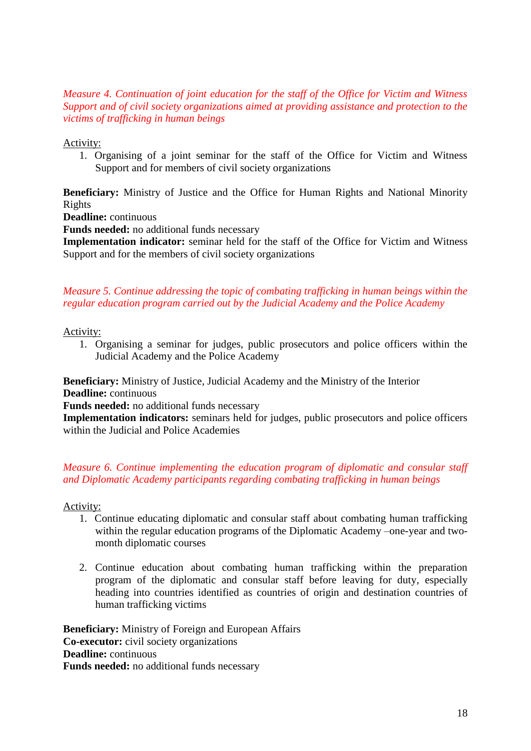### *Measure 4. Continuation of joint education for the staff of the Office for Victim and Witness Support and of civil society organizations aimed at providing assistance and protection to the victims of trafficking in human beings*

Activity:

1. Organising of a joint seminar for the staff of the Office for Victim and Witness Support and for members of civil society organizations

**Beneficiary:** Ministry of Justice and the Office for Human Rights and National Minority Rights

**Deadline:** continuous

**Funds needed:** no additional funds necessary

**Implementation indicator:** seminar held for the staff of the Office for Victim and Witness Support and for the members of civil society organizations

# *Measure 5. Continue addressing the topic of combating trafficking in human beings within the regular education program carried out by the Judicial Academy and the Police Academy*

Activity:

1. Organising a seminar for judges, public prosecutors and police officers within the Judicial Academy and the Police Academy

**Beneficiary:** Ministry of Justice, Judicial Academy and the Ministry of the Interior **Deadline:** continuous

**Funds needed:** no additional funds necessary

**Implementation indicators:** seminars held for judges, public prosecutors and police officers within the Judicial and Police Academies

### *Measure 6. Continue implementing the education program of diplomatic and consular staff and Diplomatic Academy participants regarding combating trafficking in human beings*

Activity:

- 1. Continue educating diplomatic and consular staff about combating human trafficking within the regular education programs of the Diplomatic Academy –one-year and twomonth diplomatic courses
- 2. Continue education about combating human trafficking within the preparation program of the diplomatic and consular staff before leaving for duty, especially heading into countries identified as countries of origin and destination countries of human trafficking victims

**Beneficiary:** Ministry of Foreign and European Affairs **Co-executor:** civil society organizations **Deadline:** continuous **Funds needed:** no additional funds necessary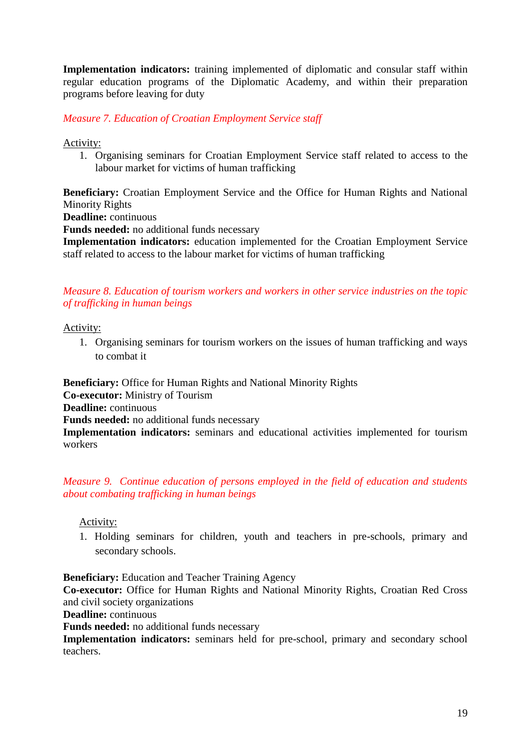**Implementation indicators:** training implemented of diplomatic and consular staff within regular education programs of the Diplomatic Academy, and within their preparation programs before leaving for duty

*Measure 7. Education of Croatian Employment Service staff*

Activity:

1. Organising seminars for Croatian Employment Service staff related to access to the labour market for victims of human trafficking

**Beneficiary:** Croatian Employment Service and the Office for Human Rights and National Minority Rights

**Deadline:** continuous

**Funds needed:** no additional funds necessary

**Implementation indicators:** education implemented for the Croatian Employment Service staff related to access to the labour market for victims of human trafficking

## *Measure 8. Education of tourism workers and workers in other service industries on the topic of trafficking in human beings*

Activity:

1. Organising seminars for tourism workers on the issues of human trafficking and ways to combat it

**Beneficiary:** Office for Human Rights and National Minority Rights **Co-executor:** Ministry of Tourism **Deadline:** continuous **Funds needed:** no additional funds necessary **Implementation indicators:** seminars and educational activities implemented for tourism workers

*Measure 9. Continue education of persons employed in the field of education and students about combating trafficking in human beings* 

Activity:

1. Holding seminars for children, youth and teachers in pre-schools, primary and secondary schools.

**Beneficiary:** Education and Teacher Training Agency

**Co-executor:** Office for Human Rights and National Minority Rights, Croatian Red Cross and civil society organizations

**Deadline:** continuous

**Funds needed:** no additional funds necessary

**Implementation indicators:** seminars held for pre-school, primary and secondary school teachers.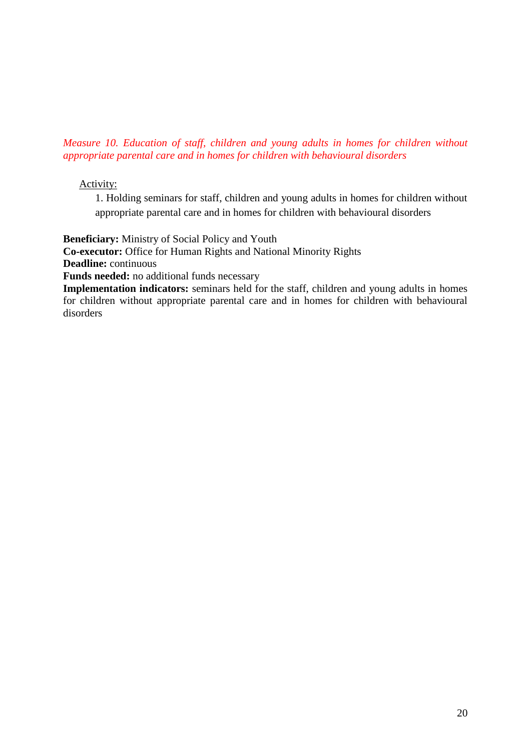*Measure 10. Education of staff, children and young adults in homes for children without appropriate parental care and in homes for children with behavioural disorders* 

## Activity:

1. Holding seminars for staff, children and young adults in homes for children without appropriate parental care and in homes for children with behavioural disorders

**Beneficiary:** Ministry of Social Policy and Youth

**Co-executor:** Office for Human Rights and National Minority Rights

**Deadline:** continuous

**Funds needed:** no additional funds necessary

**Implementation indicators:** seminars held for the staff, children and young adults in homes for children without appropriate parental care and in homes for children with behavioural disorders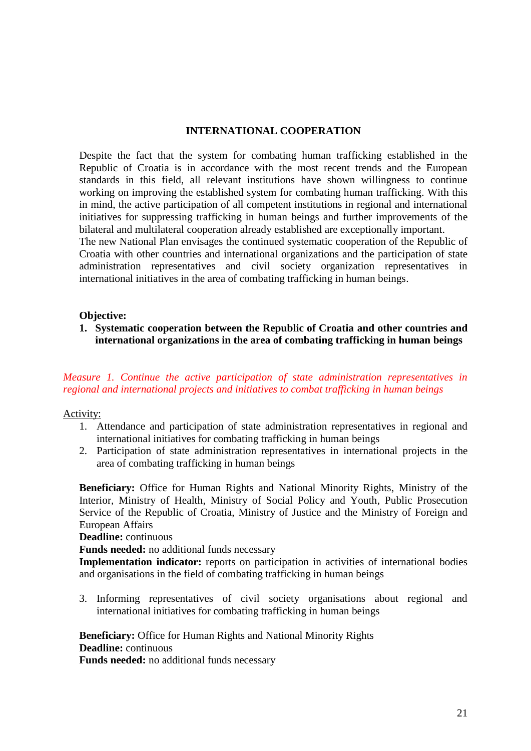#### **INTERNATIONAL COOPERATION**

Despite the fact that the system for combating human trafficking established in the Republic of Croatia is in accordance with the most recent trends and the European standards in this field, all relevant institutions have shown willingness to continue working on improving the established system for combating human trafficking. With this in mind, the active participation of all competent institutions in regional and international initiatives for suppressing trafficking in human beings and further improvements of the bilateral and multilateral cooperation already established are exceptionally important.

The new National Plan envisages the continued systematic cooperation of the Republic of Croatia with other countries and international organizations and the participation of state administration representatives and civil society organization representatives in international initiatives in the area of combating trafficking in human beings.

#### **Objective:**

**1. Systematic cooperation between the Republic of Croatia and other countries and international organizations in the area of combating trafficking in human beings** 

## *Measure 1. Continue the active participation of state administration representatives in regional and international projects and initiatives to combat trafficking in human beings*

### Activity:

- 1. Attendance and participation of state administration representatives in regional and international initiatives for combating trafficking in human beings
- 2. Participation of state administration representatives in international projects in the area of combating trafficking in human beings

**Beneficiary:** Office for Human Rights and National Minority Rights, Ministry of the Interior, Ministry of Health, Ministry of Social Policy and Youth, Public Prosecution Service of the Republic of Croatia, Ministry of Justice and the Ministry of Foreign and European Affairs

**Deadline:** continuous

**Funds needed:** no additional funds necessary

**Implementation indicator:** reports on participation in activities of international bodies and organisations in the field of combating trafficking in human beings

3. Informing representatives of civil society organisations about regional and international initiatives for combating trafficking in human beings

**Beneficiary:** Office for Human Rights and National Minority Rights **Deadline:** continuous

**Funds needed:** no additional funds necessary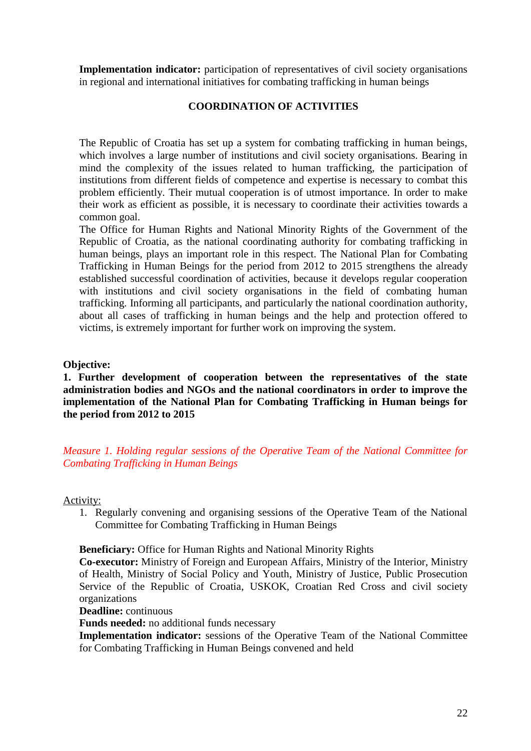**Implementation indicator:** participation of representatives of civil society organisations in regional and international initiatives for combating trafficking in human beings

### **COORDINATION OF ACTIVITIES**

The Republic of Croatia has set up a system for combating trafficking in human beings, which involves a large number of institutions and civil society organisations. Bearing in mind the complexity of the issues related to human trafficking, the participation of institutions from different fields of competence and expertise is necessary to combat this problem efficiently. Their mutual cooperation is of utmost importance. In order to make their work as efficient as possible, it is necessary to coordinate their activities towards a common goal.

The Office for Human Rights and National Minority Rights of the Government of the Republic of Croatia, as the national coordinating authority for combating trafficking in human beings, plays an important role in this respect. The National Plan for Combating Trafficking in Human Beings for the period from 2012 to 2015 strengthens the already established successful coordination of activities, because it develops regular cooperation with institutions and civil society organisations in the field of combating human trafficking. Informing all participants, and particularly the national coordination authority, about all cases of trafficking in human beings and the help and protection offered to victims, is extremely important for further work on improving the system.

#### **Objective:**

**1. Further development of cooperation between the representatives of the state administration bodies and NGOs and the national coordinators in order to improve the implementation of the National Plan for Combating Trafficking in Human beings for the period from 2012 to 2015**

*Measure 1. Holding regular sessions of the Operative Team of the National Committee for Combating Trafficking in Human Beings* 

Activity:

1. Regularly convening and organising sessions of the Operative Team of the National Committee for Combating Trafficking in Human Beings

**Beneficiary:** Office for Human Rights and National Minority Rights

**Co-executor:** Ministry of Foreign and European Affairs, Ministry of the Interior, Ministry of Health, Ministry of Social Policy and Youth, Ministry of Justice, Public Prosecution Service of the Republic of Croatia, USKOK, Croatian Red Cross and civil society organizations

**Deadline:** continuous

**Funds needed:** no additional funds necessary

**Implementation indicator:** sessions of the Operative Team of the National Committee for Combating Trafficking in Human Beings convened and held